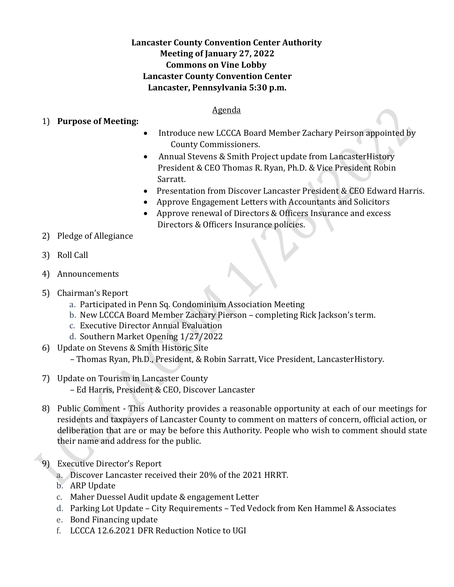# **Lancaster County Convention Center Authority Meeting of January 27, 2022 Commons on Vine Lobby Lancaster County Convention Center Lancaster, Pennsylvania 5:30 p.m.**

#### Agenda

#### 1) **Purpose of Meeting:**

- Introduce new LCCCA Board Member Zachary Peirson appointed by County Commissioners.
- Annual Stevens & Smith Project update from Lancaster History President & CEO Thomas R. Ryan, Ph.D. & Vice President Robin Sarratt.
- Presentation from Discover Lancaster President & CEO Edward Harris.
- Approve Engagement Letters with Accountants and Solicitors
- Approve renewal of Directors & Officers Insurance and excess Directors & Officers Insurance policies.
- 2) Pledge of Allegiance
- 3) Roll Call
- 4) Announcements
- 5) Chairman's Report
	- a. Participated in Penn Sq. Condominium Association Meeting
	- b. New LCCCA Board Member Zachary Pierson completing Rick Jackson's term.
	- c. Executive Director Annual Evaluation
	- d. Southern Market Opening 1/27/2022
- 6) Update on Stevens & Smith Historic Site

– Thomas Ryan, Ph.D., President, & Robin Sarratt, Vice President, LancasterHistory.

- 7) Update on Tourism in Lancaster County
	- Ed Harris, President & CEO, Discover Lancaster
- 8) Public Comment This Authority provides a reasonable opportunity at each of our meetings for residents and taxpayers of Lancaster County to comment on matters of concern, official action, or deliberation that are or may be before this Authority. People who wish to comment should state their name and address for the public.

## 9) Executive Director's Report

- a. Discover Lancaster received their 20% of the 2021 HRRT.
- b. ARP Update
- c. Maher Duessel Audit update & engagement Letter
- d. Parking Lot Update City Requirements Ted Vedock from Ken Hammel & Associates
- e. Bond Financing update
- f. LCCCA 12.6.2021 DFR Reduction Notice to UGI